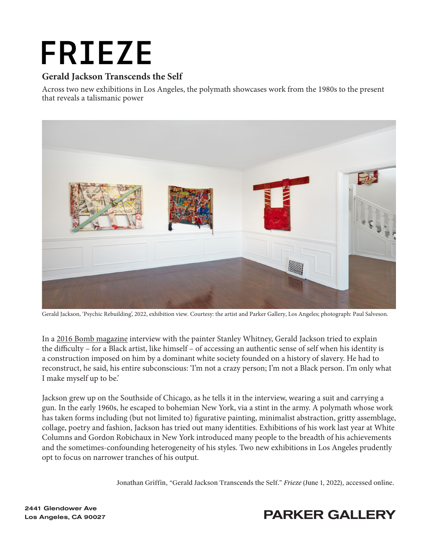# **FRIEZE**

#### **Gerald Jackson Transcends the Self**

Across two new exhibitions in Los Angeles, the polymath showcases work from the 1980s to the present that reveals a talismanic power



Gerald Jackson, 'Psychic Rebuilding', 2022, exhibition view. Courtesy: the artist and Parker Gallery, Los Angeles; photograph: Paul Salveson.

In a [2016 Bomb magazine](https://bombmagazine.org/articles/gerald-jackson/) interview with the painter Stanley Whitney, Gerald Jackson tried to explain the difficulty – for a Black artist, like himself – of accessing an authentic sense of self when his identity is a construction imposed on him by a dominant white society founded on a history of slavery. He had to reconstruct, he said, his entire subconscious: 'I'm not a crazy person; I'm not a Black person. I'm only what I make myself up to be.'

Jackson grew up on the Southside of Chicago, as he tells it in the interview, wearing a suit and carrying a gun. In the early 1960s, he escaped to bohemian New York, via a stint in the army. A polymath whose work has taken forms including (but not limited to) figurative painting, minimalist abstraction, gritty assemblage, collage, poetry and fashion, Jackson has tried out many identities. Exhibitions of his work last year at White Columns and Gordon Robichaux in New York introduced many people to the breadth of his achievements and the sometimes-confounding heterogeneity of his styles. Two new exhibitions in Los Angeles prudently opt to focus on narrower tranches of his output.

[Jonathan Griffin, "Gerald Jackson Transcends the Self."](https://www.frieze.com/article/gerald-jackson-los-angeles-2022-review) *Frieze* (June 1, 2022), accessed online.



### Los Angeles, CA 90027 **PARKER GALLERY**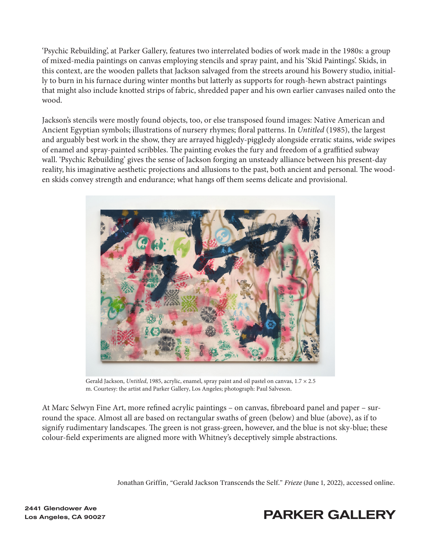'Psychic Rebuilding', at Parker Gallery, features two interrelated bodies of work made in the 1980s: a group of mixed-media paintings on canvas employing stencils and spray paint, and his 'Skid Paintings'. Skids, in this context, are the wooden pallets that Jackson salvaged from the streets around his Bowery studio, initially to burn in his furnace during winter months but latterly as supports for rough-hewn abstract paintings that might also include knotted strips of fabric, shredded paper and his own earlier canvases nailed onto the wood.

Jackson's stencils were mostly found objects, too, or else transposed found images: Native American and Ancient Egyptian symbols; illustrations of nursery rhymes; floral patterns. In *Untitled* (1985), the largest and arguably best work in the show, they are arrayed higgledy-piggledy alongside erratic stains, wide swipes of enamel and spray-painted scribbles. The painting evokes the fury and freedom of a graffitied subway wall. 'Psychic Rebuilding' gives the sense of Jackson forging an unsteady alliance between his present-day reality, his imaginative aesthetic projections and allusions to the past, both ancient and personal. The wooden skids convey strength and endurance; what hangs off them seems delicate and provisional.



Gerald Jackson, *Untitled*, 1985, acrylic, enamel, spray paint and oil pastel on canvas,  $1.7 \times 2.5$ m. Courtesy: the artist and Parker Gallery, Los Angeles; photograph: Paul Salveson.

At Marc Selwyn Fine Art, more refined acrylic paintings – on canvas, fibreboard panel and paper – surround the space. Almost all are based on rectangular swaths of green (below) and blue (above), as if to signify rudimentary landscapes. The green is not grass-green, however, and the blue is not sky-blue; these colour-field experiments are aligned more with Whitney's deceptively simple abstractions.

[Jonathan Griffin, "Gerald Jackson Transcends the Self."](https://www.frieze.com/article/gerald-jackson-los-angeles-2022-review) *Frieze* (June 1, 2022), accessed online.

## 2441 Glendower Ave

#### Los Angeles, CA 90027 **PARKER GALLERY**